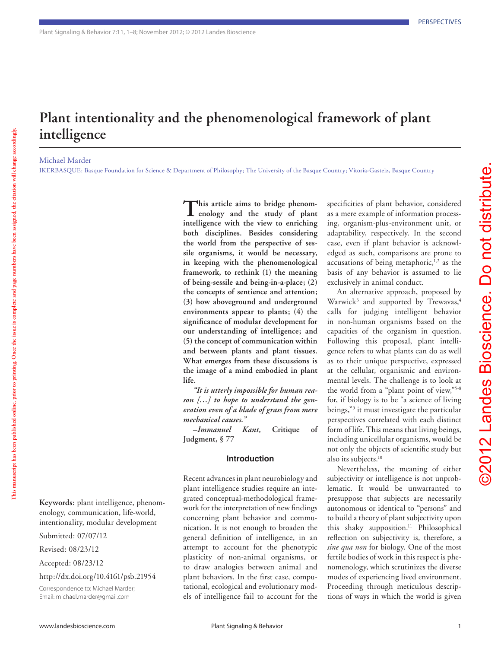# **Plant intentionality and the phenomenological framework of plant intelligence**

Michael Marder

IKERBASQUE: Basque Foundation for Science & Department of Philosophy; The University of the Basque Country; Vitoria-Gasteiz, Basque Country

**This article aims to bridge phenomenology and the study of plant intelligence with the view to enriching both disciplines. Besides considering the world from the perspective of sessile organisms, it would be necessary, in keeping with the phenomenological framework, to rethink (1) the meaning of being-sessile and being-in-a-place; (2) the concepts of sentience and attention; (3) how aboveground and underground environments appear to plants; (4) the significance of modular development for our understanding of intelligence; and (5) the concept of communication within and between plants and plant tissues. What emerges from these discussions is the image of a mind embodied in plant life.**

*"It is utterly impossible for human reason […] to hope to understand the generation even of a blade of grass from mere mechanical causes."*

*–Immanuel Kant***, Critique of Judgment, § 77**

#### **Introduction**

Recent advances in plant neurobiology and plant intelligence studies require an integrated conceptual-methodological framework for the interpretation of new findings concerning plant behavior and communication. It is not enough to broaden the general definition of intelligence, in an attempt to account for the phenotypic plasticity of non-animal organisms, or to draw analogies between animal and plant behaviors. In the first case, computational, ecological and evolutionary models of intelligence fail to account for the specificities of plant behavior, considered as a mere example of information processing, organism-plus-environment unit, or adaptability, respectively. In the second case, even if plant behavior is acknowledged as such, comparisons are prone to accusations of being metaphoric, $1,2$  as the basis of any behavior is assumed to lie exclusively in animal conduct.

An alternative approach, proposed by Warwick<sup>3</sup> and supported by Trewavas,<sup>4</sup> calls for judging intelligent behavior in non-human organisms based on the capacities of the organism in question. Following this proposal, plant intelligence refers to what plants can do as well as to their unique perspective, expressed at the cellular, organismic and environmental levels. The challenge is to look at the world from a "plant point of view,"5-8 for, if biology is to be "a science of living beings,"9 it must investigate the particular perspectives correlated with each distinct form of life. This means that living beings, including unicellular organisms, would be not only the objects of scientific study but also its subjects.<sup>10</sup>

Nevertheless, the meaning of either subjectivity or intelligence is not unproblematic. It would be unwarranted to presuppose that subjects are necessarily autonomous or identical to "persons" and to build a theory of plant subjectivity upon this shaky supposition.<sup>11</sup> Philosophical reflection on subjectivity is, therefore, a *sine qua non* for biology. One of the most fertile bodies of work in this respect is phenomenology, which scrutinizes the diverse modes of experiencing lived environment. Proceeding through meticulous descriptions of ways in which the world is given

**Keywords:** plant intelligence, phenomenology, communication, life-world, intentionality, modular development

Submitted: 07/07/12

Revised: 08/23/12

Accepted: 08/23/12

http://dx.doi.org/10.4161/psb.21954

Correspondence to: Michael Marder; Email: michael.marder@gmail.com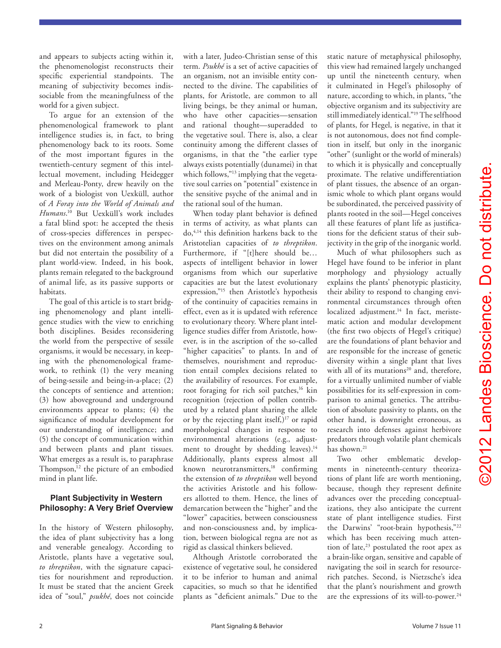and appears to subjects acting within it, the phenomenologist reconstructs their specific experiential standpoints. The meaning of subjectivity becomes indissociable from the meaningfulness of the world for a given subject.

To argue for an extension of the phenomenological framework to plant intelligence studies is, in fact, to bring phenomenology back to its roots. Some of the most important figures in the twentieth-century segment of this intellectual movement, including Heidegger and Merleau-Ponty, drew heavily on the work of a biologist von Uexküll, author of *A Foray into the World of Animals and Humans*. 10 But Uexküll's work includes a fatal blind spot: he accepted the thesis of cross-species differences in perspectives on the environment among animals but did not entertain the possibility of a plant world-view. Indeed, in his book, plants remain relegated to the background of animal life, as its passive supports or habitats.

The goal of this article is to start bridging phenomenology and plant intelligence studies with the view to enriching both disciplines. Besides reconsidering the world from the perspective of sessile organisms, it would be necessary, in keeping with the phenomenological framework, to rethink (1) the very meaning of being-sessile and being-in-a-place; (2) the concepts of sentience and attention; (3) how aboveground and underground environments appear to plants; (4) the significance of modular development for our understanding of intelligence; and (5) the concept of communication within and between plants and plant tissues. What emerges as a result is, to paraphrase Thompson,<sup>12</sup> the picture of an embodied mind in plant life.

#### **Plant Subjectivity in Western Philosophy: A Very Brief Overview**

In the history of Western philosophy, the idea of plant subjectivity has a long and venerable genealogy. According to Aristotle, plants have a vegetative soul, *to threptikon*, with the signature capacities for nourishment and reproduction. It must be stated that the ancient Greek idea of "soul," *psukhé*, does not coincide

with a later, Judeo-Christian sense of this term. *Psukhé* is a set of active capacities of an organism, not an invisible entity connected to the divine. The capabilities of plants, for Aristotle, are common to all living beings, be they animal or human, who have other capacities—sensation and rational thought—superadded to the vegetative soul. There is, also, a clear continuity among the different classes of organisms, in that the "the earlier type always exists potentially (dunamei) in that which follows,"<sup>13</sup> implying that the vegetative soul carries on "potential" existence in the sensitive psyche of the animal and in the rational soul of the human.

When today plant behavior is defined in terms of activity, as what plants can do,4,14 this definition harkens back to the Aristotelian capacities of *to threptikon*. Furthermore, if "[t]here should be… aspects of intelligent behavior in lower organisms from which our superlative capacities are but the latest evolutionary expression,"15 then Aristotle's hypothesis of the continuity of capacities remains in effect, even as it is updated with reference to evolutionary theory. Where plant intelligence studies differ from Aristotle, however, is in the ascription of the so-called "higher capacities" to plants. In and of themselves, nourishment and reproduction entail complex decisions related to the availability of resources. For example, root foraging for rich soil patches,<sup>16</sup> kin recognition (rejection of pollen contributed by a related plant sharing the allele or by the rejecting plant itself, $)^{17}$  or rapid morphological changes in response to environmental alterations (e.g., adjustment to drought by shedding leaves).<sup>14</sup> Additionally, plants express almost all known neurotransmitters, $18$  confirming the extension of *to threptikon* well beyond the activities Aristotle and his followers allotted to them. Hence, the lines of demarcation between the "higher" and the "lower" capacities, between consciousness and non-consciousness and, by implication, between biological regna are not as rigid as classical thinkers believed.

Although Aristotle corroborated the existence of vegetative soul, he considered it to be inferior to human and animal capacities, so much so that he identified plants as "deficient animals." Due to the static nature of metaphysical philosophy, this view had remained largely unchanged up until the nineteenth century, when it culminated in Hegel's philosophy of nature, according to which, in plants, "the objective organism and its subjectivity are still immediately identical."19 The selfhood of plants, for Hegel, is negative, in that it is not autonomous, does not find completion in itself, but only in the inorganic "other" (sunlight or the world of minerals) to which it is physically and conceptually proximate. The relative undifferentiation of plant tissues, the absence of an organismic whole to which plant organs would be subordinated, the perceived passivity of plants rooted in the soil—Hegel conceives all these features of plant life as justifications for the deficient status of their subjectivity in the grip of the inorganic world.

Much of what philosophers such as Hegel have found to be inferior in plant morphology and physiology actually explains the plants' phenotypic plasticity, their ability to respond to changing environmental circumstances through often localized adjustment.<sup>14</sup> In fact, meristematic action and modular development (the first two objects of Hegel's critique) are the foundations of plant behavior and are responsible for the increase of genetic diversity within a single plant that lives with all of its mutations $20$  and, therefore, for a virtually unlimited number of viable possibilities for its self-expression in comparison to animal genetics. The attribution of absolute passivity to plants, on the other hand, is downright erroneous, as research into defenses against herbivore predators through volatile plant chemicals has shown.<sup>21</sup>

Two other emblematic developments in nineteenth-century theorizations of plant life are worth mentioning, because, though they represent definite advances over the preceding conceptualizations, they also anticipate the current state of plant intelligence studies. First the Darwins' "root-brain hypothesis,"22 which has been receiving much attention of late, $23$  postulated the root apex as a brain-like organ, sensitive and capable of navigating the soil in search for resourcerich patches. Second, is Nietzsche's idea that the plant's nourishment and growth are the expressions of its will-to-power.<sup>24</sup>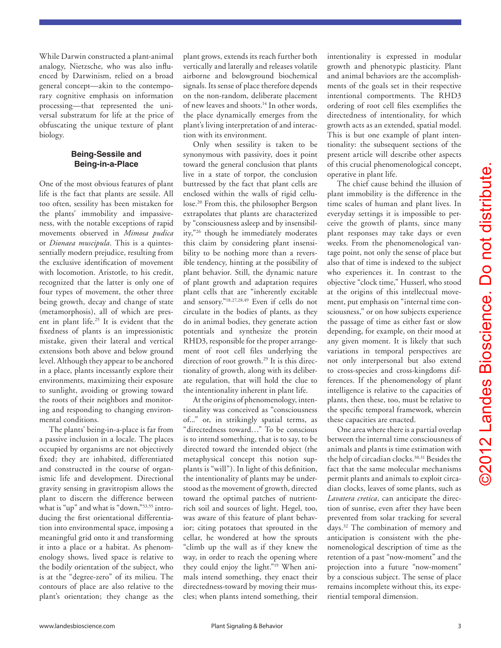While Darwin constructed a plant-animal analogy, Nietzsche, who was also influenced by Darwinism, relied on a broad general concept—akin to the contemporary cognitive emphasis on information processing—that represented the universal substratum for life at the price of obfuscating the unique texture of plant biology.

### **Being-Sessile and Being-in-a-Place**

One of the most obvious features of plant life is the fact that plants are sessile. All too often, sessility has been mistaken for the plants' immobility and impassiveness, with the notable exceptions of rapid movements observed in *Mimosa pudica* or *Dionaea muscipula*. This is a quintessentially modern prejudice, resulting from the exclusive identification of movement with locomotion. Aristotle, to his credit, recognized that the latter is only one of four types of movement, the other three being growth, decay and change of state (metamorphosis), all of which are present in plant life.<sup>25</sup> It is evident that the fixedness of plants is an impressionistic mistake, given their lateral and vertical extensions both above and below ground level. Although they appear to be anchored in a place, plants incessantly explore their environments, maximizing their exposure to sunlight, avoiding or growing toward the roots of their neighbors and monitoring and responding to changing environmental conditions.

The plants' being-in-a-place is far from a passive inclusion in a locale. The places occupied by organisms are not objectively fixed; they are inhabited, differentiated and constructed in the course of organismic life and development. Directional gravity sensing in gravitropism allows the plant to discern the difference between what is "up" and what is "down,"53,55 introducing the first orientational differentiation into environmental space, imposing a meaningful grid onto it and transforming it into a place or a habitat. As phenomenology shows, lived space is relative to the bodily orientation of the subject, who is at the "degree-zero" of its milieu. The contours of place are also relative to the plant's orientation; they change as the plant grows, extends its reach further both vertically and laterally and releases volatile airborne and belowground biochemical signals. Its sense of place therefore depends on the non-random, deliberate placement of new leaves and shoots.14 In other words, the place dynamically emerges from the plant's living interpretation of and interaction with its environment.

Only when sessility is taken to be synonymous with passivity, does it point toward the general conclusion that plants live in a state of torpor, the conclusion buttressed by the fact that plant cells are enclosed within the walls of rigid cellulose.20 From this, the philosopher Bergson extrapolates that plants are characterized by "consciousness asleep and by insensibility,"26 though he immediately moderates this claim by considering plant insensibility to be nothing more than a reversible tendency, hinting at the possibility of plant behavior. Still, the dynamic nature of plant growth and adaptation requires plant cells that are "inherently excitable and sensory."18,27,28,49 Even if cells do not circulate in the bodies of plants, as they do in animal bodies, they generate action potentials and synthesize the protein RHD3, responsible for the proper arrangement of root cell files underlying the direction of root growth.29 It is this directionality of growth, along with its deliberate regulation, that will hold the clue to the intentionality inherent in plant life.

At the origins of phenomenology, intentionality was conceived as "consciousness of..." or, in strikingly spatial terms, as "directedness toward…" To be conscious is to intend something, that is to say, to be directed toward the intended object (the metaphysical concept this notion supplants is "will"). In light of this definition, the intentionality of plants may be understood as the movement of growth, directed toward the optimal patches of nutrientrich soil and sources of light. Hegel, too, was aware of this feature of plant behavior; citing potatoes that sprouted in the cellar, he wondered at how the sprouts "climb up the wall as if they knew the way, in order to reach the opening where they could enjoy the light."19 When animals intend something, they enact their directedness-toward by moving their muscles; when plants intend something, their

intentionality is expressed in modular growth and phenotypic plasticity. Plant and animal behaviors are the accomplishments of the goals set in their respective intentional comportments. The RHD3 ordering of root cell files exemplifies the directedness of intentionality, for which growth acts as an extended, spatial model. This is but one example of plant intentionality: the subsequent sections of the present article will describe other aspects of this crucial phenomenological concept, operative in plant life.

The chief cause behind the illusion of plant immobility is the difference in the time scales of human and plant lives. In everyday settings it is impossible to perceive the growth of plants, since many plant responses may take days or even weeks. From the phenomenological vantage point, not only the sense of place but also that of time is indexed to the subject who experiences it. In contrast to the objective "clock time," Husserl, who stood at the origins of this intellectual movement, put emphasis on "internal time consciousness," or on how subjects experience the passage of time as either fast or slow depending, for example, on their mood at any given moment. It is likely that such variations in temporal perspectives are not only interpersonal but also extend to cross-species and cross-kingdoms differences. If the phenomenology of plant intelligence is relative to the capacities of plants, then these, too, must be relative to the specific temporal framework, wherein these capacities are enacted.

One area where there is a partial overlap between the internal time consciousness of animals and plants is time estimation with the help of circadian clocks.<sup>30,31</sup> Besides the fact that the same molecular mechanisms permit plants and animals to exploit circadian clocks, leaves of some plants, such as *Lavatera cretica*, can anticipate the direction of sunrise, even after they have been prevented from solar tracking for several days.32 The combination of memory and anticipation is consistent with the phenomenological description of time as the retention of a past "now-moment" and the projection into a future "now-moment" by a conscious subject. The sense of place remains incomplete without this, its experiential temporal dimension.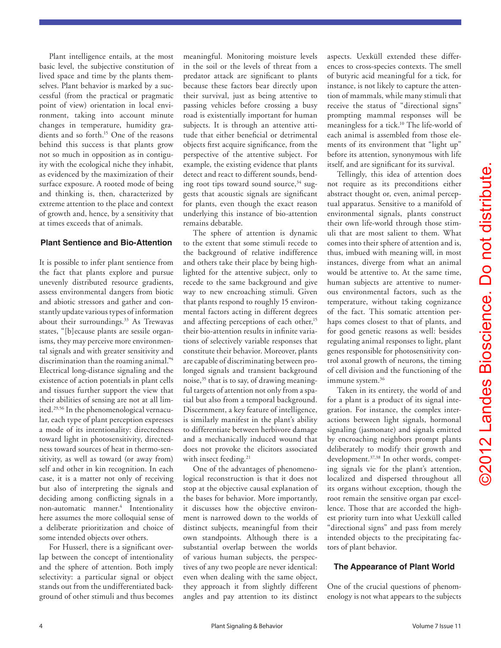Plant intelligence entails, at the most basic level, the subjective constitution of lived space and time by the plants themselves. Plant behavior is marked by a successful (from the practical or pragmatic point of view) orientation in local environment, taking into account minute changes in temperature, humidity gradients and so forth.15 One of the reasons behind this success is that plants grow not so much in opposition as in contiguity with the ecological niche they inhabit, as evidenced by the maximization of their surface exposure. A rooted mode of being and thinking is, then, characterized by extreme attention to the place and context of growth and, hence, by a sensitivity that at times exceeds that of animals.

## **Plant Sentience and Bio-Attention**

It is possible to infer plant sentience from the fact that plants explore and pursue unevenly distributed resource gradients, assess environmental dangers from biotic and abiotic stressors and gather and constantly update various types of information about their surroundings.<sup>33</sup> As Trewavas states, "[b]ecause plants are sessile organisms, they may perceive more environmental signals and with greater sensitivity and discrimination than the roaming animal."4 Electrical long-distance signaling and the existence of action potentials in plant cells and tissues further support the view that their abilities of sensing are not at all limited.29,56 In the phenomenological vernacular, each type of plant perception expresses a mode of its intentionality: directedness toward light in photosensitivity, directedness toward sources of heat in thermo-sensitivity, as well as toward (or away from) self and other in kin recognition. In each case, it is a matter not only of receiving but also of interpreting the signals and deciding among conflicting signals in a non-automatic manner.<sup>4</sup> Intentionality here assumes the more colloquial sense of a deliberate prioritization and choice of some intended objects over others.

For Husserl, there is a significant overlap between the concept of intentionality and the sphere of attention. Both imply selectivity: a particular signal or object stands out from the undifferentiated background of other stimuli and thus becomes

meaningful. Monitoring moisture levels in the soil or the levels of threat from a predator attack are significant to plants because these factors bear directly upon their survival, just as being attentive to passing vehicles before crossing a busy road is existentially important for human subjects. It is through an attentive attitude that either beneficial or detrimental objects first acquire significance, from the perspective of the attentive subject. For example, the existing evidence that plants detect and react to different sounds, bending root tips toward sound source, $34$  suggests that acoustic signals are significant for plants, even though the exact reason underlying this instance of bio-attention remains debatable.

The sphere of attention is dynamic to the extent that some stimuli recede to the background of relative indifference and others take their place by being highlighted for the attentive subject, only to recede to the same background and give way to new encroaching stimuli. Given that plants respond to roughly 15 environmental factors acting in different degrees and affecting perceptions of each other,<sup>15</sup> their bio-attention results in infinite variations of selectively variable responses that constitute their behavior. Moreover, plants are capable of discriminating between prolonged signals and transient background noise,35 that is to say, of drawing meaningful targets of attention not only from a spatial but also from a temporal background. Discernment, a key feature of intelligence, is similarly manifest in the plant's ability to differentiate between herbivore damage and a mechanically induced wound that does not provoke the elicitors associated with insect feeding.<sup>21</sup>

One of the advantages of phenomenological reconstruction is that it does not stop at the objective causal explanation of the bases for behavior. More importantly, it discusses how the objective environment is narrowed down to the worlds of distinct subjects, meaningful from their own standpoints. Although there is a substantial overlap between the worlds of various human subjects, the perspectives of any two people are never identical: even when dealing with the same object, they approach it from slightly different angles and pay attention to its distinct

aspects. Uexküll extended these differences to cross-species contexts. The smell of butyric acid meaningful for a tick, for instance, is not likely to capture the attention of mammals, while many stimuli that receive the status of "directional signs" prompting mammal responses will be meaningless for a tick.10 The life-world of each animal is assembled from those elements of its environment that "light up" before its attention, synonymous with life itself, and are significant for its survival.

Tellingly, this idea of attention does not require as its preconditions either abstract thought or, even, animal perceptual apparatus. Sensitive to a manifold of environmental signals, plants construct their own life-world through those stimuli that are most salient to them. What comes into their sphere of attention and is, thus, imbued with meaning will, in most instances, diverge from what an animal would be attentive to. At the same time, human subjects are attentive to numerous environmental factors, such as the temperature, without taking cognizance of the fact. This somatic attention perhaps comes closest to that of plants, and for good genetic reasons as well: besides regulating animal responses to light, plant genes responsible for photosensitivity control axonal growth of neurons, the timing of cell division and the functioning of the immune system.<sup>36</sup>

Taken in its entirety, the world of and for a plant is a product of its signal integration. For instance, the complex interactions between light signals, hormonal signaling (jasmonate) and signals emitted by encroaching neighbors prompt plants deliberately to modify their growth and development.37,38 In other words, competing signals vie for the plant's attention, localized and dispersed throughout all its organs without exception, though the root remain the sensitive organ par excellence. Those that are accorded the highest priority turn into what Uexküll called "directional signs" and pass from merely intended objects to the precipitating factors of plant behavior.

#### **The Appearance of Plant World**

One of the crucial questions of phenomenology is not what appears to the subjects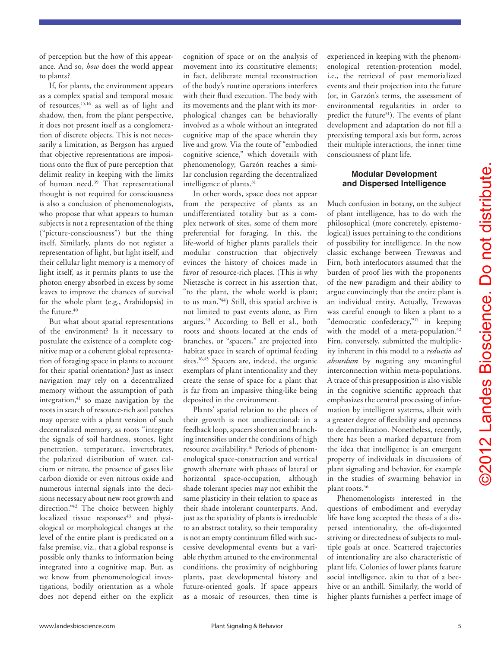of perception but the how of this appearance. And so, *how* does the world appear to plants?

If, for plants, the environment appears as a complex spatial and temporal mosaic of resources,<sup>15,16</sup> as well as of light and shadow, then, from the plant perspective, it does not present itself as a conglomeration of discrete objects. This is not necessarily a limitation, as Bergson has argued that objective representations are impositions onto the flux of pure perception that delimit reality in keeping with the limits of human need.39 That representational thought is not required for consciousness is also a conclusion of phenomenologists, who propose that what appears to human subjects is not a representation of the thing ("picture-consciousness") but the thing itself. Similarly, plants do not register a representation of light, but light itself, and their cellular light memory is a memory of light itself, as it permits plants to use the photon energy absorbed in excess by some leaves to improve the chances of survival for the whole plant (e.g., Arabidopsis) in the future.<sup>40</sup>

But what about spatial representations of the environment? Is it necessary to postulate the existence of a complete cognitive map or a coherent global representation of foraging space in plants to account for their spatial orientation? Just as insect navigation may rely on a decentralized memory without the assumption of path integration, $41$  so maze navigation by the roots in search of resource-rich soil patches may operate with a plant version of such decentralized memory, as roots "integrate the signals of soil hardness, stones, light penetration, temperature, invertebrates, the polarized distribution of water, calcium or nitrate, the presence of gases like carbon dioxide or even nitrous oxide and numerous internal signals into the decisions necessary about new root growth and direction."42 The choice between highly  $localized$  tissue responses $43$  and physiological or morphological changes at the level of the entire plant is predicated on a false premise, viz., that a global response is possible only thanks to information being integrated into a cognitive map. But, as we know from phenomenological investigations, bodily orientation as a whole does not depend either on the explicit cognition of space or on the analysis of movement into its constitutive elements; in fact, deliberate mental reconstruction of the body's routine operations interferes with their fluid execution. The body with its movements and the plant with its morphological changes can be behaviorally involved as a whole without an integrated cognitive map of the space wherein they live and grow. Via the route of "embodied cognitive science," which dovetails with phenomenology, Garzón reaches a similar conclusion regarding the decentralized intelligence of plants.<sup>31</sup>

In other words, space does not appear from the perspective of plants as an undifferentiated totality but as a complex network of sites, some of them more preferential for foraging. In this, the life-world of higher plants parallels their modular construction that objectively evinces the history of choices made in favor of resource-rich places. (This is why Nietzsche is correct in his assertion that, "to the plant, the whole world is plant; to us man."44) Still, this spatial archive is not limited to past events alone, as Firn argues.43 According to Bell et al., both roots and shoots located at the ends of branches, or "spacers," are projected into habitat space in search of optimal feeding sites.<sup>16,45</sup> Spacers are, indeed, the organic exemplars of plant intentionality and they create the sense of space for a plant that is far from an impassive thing-like being deposited in the environment.

Plants' spatial relation to the places of their growth is not unidirectional: in a feedback loop, spacers shorten and branching intensifies under the conditions of high resource availability.<sup>16</sup> Periods of phenomenological space-construction and vertical growth alternate with phases of lateral or horizontal space-occupation, although shade tolerant species may not exhibit the same plasticity in their relation to space as their shade intolerant counterparts. And, just as the spatiality of plants is irreducible to an abstract totality, so their temporality is not an empty continuum filled with successive developmental events but a variable rhythm attuned to the environmental conditions, the proximity of neighboring plants, past developmental history and future-oriented goals. If space appears as a mosaic of resources, then time is

experienced in keeping with the phenomenological retention-protention model, i.e., the retrieval of past memorialized events and their projection into the future (or, in Garzón's terms, the assessment of environmental regularities in order to predict the future<sup>31</sup>). The events of plant development and adaptation do not fill a preexisting temporal axis but form, across their multiple interactions, the inner time consciousness of plant life.

#### **Modular Development and Dispersed Intelligence**

Much confusion in botany, on the subject of plant intelligence, has to do with the philosophical (more concretely, epistemological) issues pertaining to the conditions of possibility for intelligence. In the now classic exchange between Trewavas and Firn, both interlocutors assumed that the burden of proof lies with the proponents of the new paradigm and their ability to argue convincingly that the entire plant is an individual entity. Actually, Trewavas was careful enough to liken a plant to a "democratic confederacy,"15 in keeping with the model of a meta-population.<sup>42</sup> Firn, conversely, submitted the multiplicity inherent in this model to a *reductio ad absurdum* by negating any meaningful interconnection within meta-populations. A trace of this presupposition is also visible in the cognitive scientific approach that emphasizes the central processing of information by intelligent systems, albeit with a greater degree of flexibility and openness to decentralization. Nonetheless, recently, there has been a marked departure from the idea that intelligence is an emergent property of individuals in discussions of plant signaling and behavior, for example in the studies of swarming behavior in plant roots.46

Phenomenologists interested in the questions of embodiment and everyday life have long accepted the thesis of a dispersed intentionality, the oft-disjointed striving or directedness of subjects to multiple goals at once. Scattered trajectories of intentionality are also characteristic of plant life. Colonies of lower plants feature social intelligence, akin to that of a beehive or an anthill. Similarly, the world of higher plants furnishes a perfect image of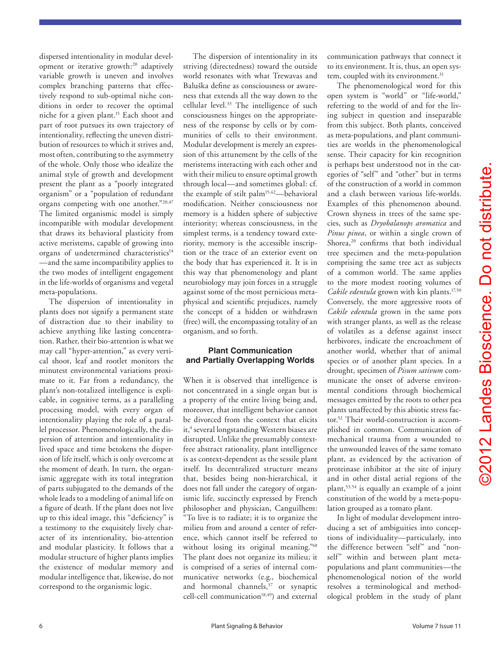dispersed intentionality in modular development or iterative growth:<sup>20</sup> adaptively variable growth is uneven and involves complex branching patterns that effectively respond to sub-optimal niche conditions in order to recover the optimal niche for a given plant.<sup>15</sup> Each shoot and part of root pursues its own trajectory of intentionality, reflecting the uneven distribution of resources to which it strives and, most often, contributing to the asymmetry of the whole. Only those who idealize the animal style of growth and development present the plant as a "poorly integrated organism" or a "population of redundant organs competing with one another."20,47 The limited organismic model is simply incompatible with modular development that draws its behavioral plasticity from active meristems, capable of growing into organs of undetermined characteristics<sup>14</sup> —and the same incompatibility applies to the two modes of intelligent engagement in the life-worlds of organisms and vegetal meta-populations.

The dispersion of intentionality in plants does not signify a permanent state of distraction due to their inability to achieve anything like lasting concentration. Rather, their bio-attention is what we may call "hyper-attention," as every vertical shoot, leaf and rootlet monitors the minutest environmental variations proximate to it. Far from a redundancy, the plant's non-totalized intelligence is explicable, in cognitive terms, as a paralleling processing model, with every organ of intentionality playing the role of a parallel processor. Phenomenologically, the dispersion of attention and intentionality in lived space and time betokens the dispersion of life itself, which is only overcome at the moment of death. In turn, the organismic aggregate with its total integration of parts subjugated to the demands of the whole leads to a modeling of animal life on a figure of death. If the plant does not live up to this ideal image, this "deficiency" is a testimony to the exquisitely lively character of its intentionality, bio-attention and modular plasticity. It follows that a modular structure of higher plants implies the existence of modular memory and modular intelligence that, likewise, do not correspond to the organismic logic.

The dispersion of intentionality in its striving (directedness) toward the outside world resonates with what Trewavas and Baluška define as consciousness or awareness that extends all the way down to the cellular level.<sup>33</sup> The intelligence of such consciousness hinges on the appropriateness of the response by cells or by communities of cells to their environment. Modular development is merely an expression of this attunement by the cells of the meristems interacting with each other and with their milieu to ensure optimal growth through local—and sometimes global: cf. the example of stilt palm<sup>15,42</sup>—behavioral modification. Neither consciousness nor memory is a hidden sphere of subjective interiority; whereas consciousness, in the simplest terms, is a tendency toward exteriority, memory is the accessible inscription or the trace of an exterior event on the body that has experienced it. It is in this way that phenomenology and plant neurobiology may join forces in a struggle against some of the most pernicious metaphysical and scientific prejudices, namely the concept of a hidden or withdrawn (free) will, the encompassing totality of an organism, and so forth.

### **Plant Communication and Partially Overlapping Worlds**

When it is observed that intelligence is not concentrated in a single organ but is a property of the entire living being and, moreover, that intelligent behavior cannot be divorced from the context that elicits it,<sup>4</sup> several longstanding Western biases are disrupted. Unlike the presumably contextfree abstract rationality, plant intelligence is as context-dependent as the sessile plant itself. Its decentralized structure means that, besides being non-hierarchical, it does not fall under the category of organismic life, succinctly expressed by French philosopher and physician, Canguilhem: "To live is to radiate; it is to organize the milieu from and around a center of reference, which cannot itself be referred to without losing its original meaning."48 The plant does not organize its milieu; it is comprised of a series of internal communicative networks (e.g., biochemical and hormonal channels,<sup>37</sup> or synaptic cell-cell communication<sup>18,49</sup>) and external

communication pathways that connect it to its environment. It is, thus, an open system, coupled with its environment.<sup>31</sup>

The phenomenological word for this open system is "world" or "life-world," referring to the world of and for the living subject in question and inseparable from this subject. Both plants, conceived as meta-populations, and plant communities are worlds in the phenomenological sense. Their capacity for kin recognition is perhaps best understood not in the categories of "self" and "other" but in terms of the construction of a world in common and a clash between various life-worlds. Examples of this phenomenon abound. Crown shyness in trees of the same species, such as *Dryobalanops aromatica* and *Pinus pinea*, or within a single crown of Shorea,<sup>20</sup> confirms that both individual tree specimen and the meta-population comprising the same tree act as subjects of a common world. The same applies to the more modest rooting volumes of *Cakile edentula* grown with kin plants.<sup>17,50</sup> Conversely, the more aggressive roots of *Cakile edentula* grown in the same pots with stranger plants, as well as the release of volatiles as a defense against insect herbivores, indicate the encroachment of another world, whether that of animal species or of another plant species. In a drought, specimen of *Pisum sativum* communicate the onset of adverse environmental conditions through biochemical messages emitted by the roots to other pea plants unaffected by this abiotic stress factor.52 Their world-construction is accomplished in common. Communication of mechanical trauma from a wounded to the unwounded leaves of the same tomato plant, as evidenced by the activation of proteinase inhibitor at the site of injury and in other distal aerial regions of the plant,53,54 is equally an example of a joint constitution of the world by a meta-population grouped as a tomato plant.

In light of modular development introducing a set of ambiguities into conceptions of individuality—particularly, into the difference between "self" and "nonself" within and between plant metapopulations and plant communities—the phenomenological notion of the world resolves a terminological and methodological problem in the study of plant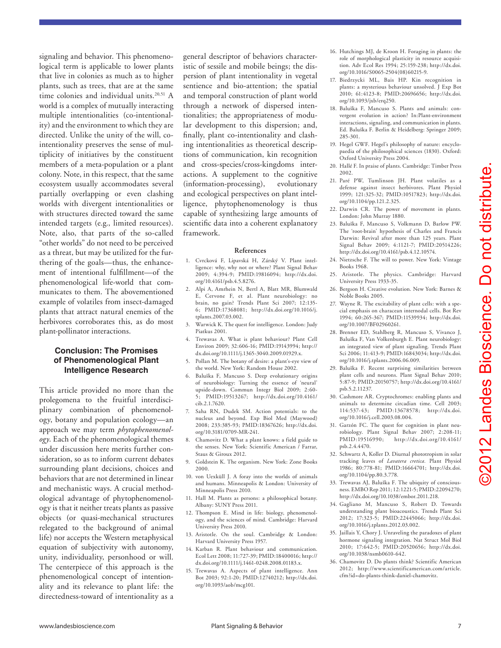signaling and behavior. This phenomenological term is applicable to lower plants that live in colonies as much as to higher plants, such as trees, that are at the same time colonies and individual units.<sup>20,51</sup> A world is a complex of mutually interacting multiple intentionalities (co-intentionality) and the environment to which they are directed. Unlike the unity of the will, cointentionality preserves the sense of multiplicity of initiatives by the constituent members of a meta-population or a plant colony. Note, in this respect, that the same ecosystem usually accommodates several partially overlapping or even clashing worlds with divergent intentionalities or with structures directed toward the same intended targets (e.g., limited resources). Note, also, that parts of the so-called "other worlds" do not need to be perceived as a threat, but may be utilized for the furthering of the goals—thus, the enhancement of intentional fulfillment—of the phenomenological life-world that communicates to them. The abovementioned example of volatiles from insect-damaged plants that attract natural enemies of the herbivores corroborates this, as do most plant-pollinator interactions.

### **Conclusion: The Promises of Phenomenological Plant Intelligence Research**

This article provided no more than the prolegomena to the fruitful interdisciplinary combination of phenomenology, botany and population ecology—an approach we may term *phytophenomenology*. Each of the phenomenological themes under discussion here merits further consideration, so as to inform current debates surrounding plant decisions, choices and behaviors that are not determined in linear and mechanistic ways. A crucial methodological advantage of phytophenomenology is that it neither treats plants as passive objects (or quasi-mechanical structures relegated to the background of animal life) nor accepts the Western metaphysical equation of subjectivity with autonomy, unity, individuality, personhood or will. The centerpiece of this approach is the phenomenological concept of intentionality and its relevance to plant life: the directedness-toward of intentionality as a

general descriptor of behaviors characteristic of sessile and mobile beings; the dispersion of plant intentionality in vegetal sentience and bio-attention; the spatial and temporal construction of plant world through a network of dispersed intentionalities; the appropriateness of modular development to this dispersion; and, finally, plant co-intentionality and clashing intentionalities as theoretical descriptions of communication, kin recognition and cross-species/cross-kingdoms interactions. A supplement to the cognitive (information-processing), evolutionary and ecological perspectives on plant intelligence, phytophenomenology is thus capable of synthesizing large amounts of scientific data into a coherent explanatory framework.

#### **References**

- 1. Cvrcková F, Lipavská H, Zárský V. Plant intelligence: why, why not or where? Plant Signal Behav 2009; 4:394-9; PMID:19816094; http://dx.doi. org/10.4161/psb.4.5.8276.
- 2. Alpi A, Amrhein N, Bertl A, Blatt MR, Blumwald E, Cervone F, et al. Plant neurobiology: no brain, no gain? Trends Plant Sci 2007; 12:135- 6; PMID:17368081; http://dx.doi.org/10.1016/j. tplants.2007.03.002.
- 3. Warwick K. The quest for intelligence. London: Judy Piatkus 2001.
- 4. Trewavas A. What is plant behaviour? Plant Cell Environ 2009; 32:606-16; PMID:19143994; http:// dx.doi.org/10.1111/j.1365-3040.2009.01929.x.
- 5. Pollan M. The botany of desire: a plant's-eye view of the world. New York: Random House 2002.
- 6. Baluška F, Mancuso S. Deep evolutionary origins of neurobiology: Turning the essence of 'neural' upside-down. Commun Integr Biol 2009; 2:60- 5; PMID:19513267; http://dx.doi.org/10.4161/ cib.2.1.7620.
- 7. Saha RN, Dudek SM. Action potentials: to the nucleus and beyond. Exp Biol Med (Maywood) 2008; 233:385-93; PMID:18367626; http://dx.doi. org/10.3181/0709-MR-241.
- 8. Chamovitz D. What a plant knows: a field guide to the senses. New York: Scientific American / Farrar, Staus & Giroux 2012.
- 9. Goldstein K. The organism. New York: Zone Books 2000.
- 10. von Uexküll J. A foray into the worlds of animals and humans. Minneapolis & London: University of Minneapolis Press 2010.
- 11. Hall M. Plants as persons: a philosophical botany. Albany: SUNY Press 2011.
- 12. Thompson E. Mind in life: biology, phenomenology, and the sciences of mind. Cambridge: Harvard University Press 2010.
- 13. Aristotle. On the soul. Cambridge & London: Harvard University Press 1957.
- 14. Karban R. Plant behaviour and communication. Ecol Lett 2008; 11:727-39; PMID:18400016; http:// dx.doi.org/10.1111/j.1461-0248.2008.01183.x.
- 15. Trewavas A. Aspects of plant intelligence. Ann Bot 2003; 92:1-20; PMID:12740212; http://dx.doi. org/10.1093/aob/mcg101.
- 16. Hutchings MJ, de Kroon H. Foraging in plants: the role of morphological plasticity in resource acquisition. Adv Ecol Res 1994; 25:159-238; http://dx.doi. org/10.1016/S0065-2504(08)60215-9.
- 17. Biedrzycki ML, Bais HP. Kin recognition in plants: a mysterious behaviour unsolved. J Exp Bot 2010; 61:4123-8; PMID:20696656; http://dx.doi. org/10.1093/jxb/erq250.
- 18. Baluška F, Mancuso S. Plants and animals: convergent evolution in action? In:Plant-environment interactions, signaling, and communication in plants. Ed. Baluška F. Berlin & Heidelberg: Springer 2009; 285-301.
- 19. Hegel GWF. Hegel's philosophy of nature: encyclopaedia of the philosophical sciences (1830). Oxford: Oxford University Press 2004.
- 20. Hallé F. In praise of plants. Cambridge: Timber Press 2002.
- 21. Paré PW, Tumlinson JH. Plant volatiles as a defense against insect herbivores. Plant Physiol 1999; 121:325-32; PMID:10517823; http://dx.doi. org/10.1104/pp.121.2.325.
- 22. Darwin CR. The power of movement in plants. London: John Murray 1880.
- 23. Baluška F, Mancuso S, Volkmann D, Barlow PW. The 'root-brain' hypothesis of Charles and Francis Darwin: Revival after more than 125 years. Plant Signal Behav 2009; 4:1121-7; PMID:20514226; http://dx.doi.org/10.4161/psb.4.12.10574.
- 24. Nietzsche F. The will to power. New York: Vintage Books 1968.
- 25. Aristotle. The physics. Cambridge: Harvard University Press 1933-35.
- 26. Bergson H. Creative evolution. New York: Barnes & Noble Books 2005.
- 27. Wayne R. The excitability of plant cells: with a special emphasis on characean internodal cells. Bot Rev 1994; 60:265-367; PMID:11539934; http://dx.doi. org/10.1007/BF02960261.
- 28. Brenner ED, Stahlberg R, Mancuso S, Vivanco J, Baluška F, Van Volkenburgh E. Plant neurobiology: an integrated view of plant signaling. Trends Plant Sci 2006; 11:413-9; PMID:16843034; http://dx.doi. org/10.1016/j.tplants.2006.06.009.
- 29. Baluška F. Recent surprising similarities between plant cells and neurons. Plant Signal Behav 2010; 5:87-9; PMID:20150757; http://dx.doi.org/10.4161/ psb.5.2.11237.
- 30. Cashmore AR. Cryptochromes: enabling plants and animals to determine circadian time. Cell 2003; 114:537-43; PMID:13678578; http://dx.doi. org/10.1016/j.cell.2003.08.004.
- 31. Garzón FC. The quest for cognition in plant neurobiology. Plant Signal Behav 2007; 2:208-11; PMID:19516990; http://dx.doi.org/10.4161/ psb.2.4.4470.
- 32. Schwartz A, Koller D. Diurnal phototropism in solar tracking leaves of *Lavatera cretica.* Plant Physiol 1986; 80:778-81; PMID:16664701; http://dx.doi. org/10.1104/pp.80.3.778.
- 33. Trewavas AJ, Baluška F. The ubiquity of consciousness. EMBO Rep 2011; 12:1221-5; PMID:22094270; http://dx.doi.org/10.1038/embor.2011.218.
- 34. Gagliano M, Mancuso S, Robert D. Towards understanding plant bioacoustics. Trends Plant Sci 2012; 17:323-5; PMID:22445066; http://dx.doi. org/10.1016/j.tplants.2012.03.002.
- 35. Jaillais Y, Chory J. Unraveling the paradoxes of plant hormone signaling integration. Nat Struct Mol Biol 2010; 17:642-5; PMID:20520656; http://dx.doi. org/10.1038/nsmb0610-642.
- 36. Chamovitz D. Do plants think? Scientific American 2012; http://www.scientificamerican.com/article. cfm?id=do-plants-think-daniel-chamovitz.